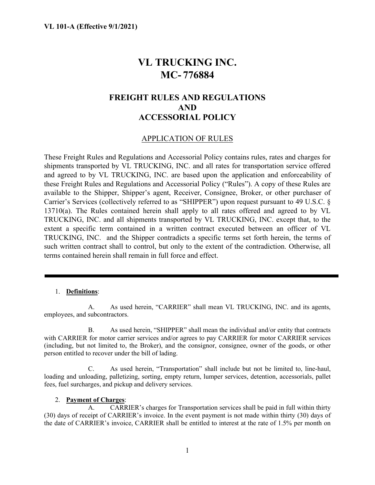# **VL TRUCKING INC. MC- 776884**

# **FREIGHT RULES AND REGULATIONS AND ACCESSORIAL POLICY**

# APPLICATION OF RULES

These Freight Rules and Regulations and Accessorial Policy contains rules, rates and charges for shipments transported by VL TRUCKING, INC. and all rates for transportation service offered and agreed to by VL TRUCKING, INC. are based upon the application and enforceability of these Freight Rules and Regulations and Accessorial Policy ("Rules"). A copy of these Rules are available to the Shipper, Shipper's agent, Receiver, Consignee, Broker, or other purchaser of Carrier's Services (collectively referred to as "SHIPPER") upon request pursuant to 49 U.S.C. § 13710(a). The Rules contained herein shall apply to all rates offered and agreed to by VL TRUCKING, INC. and all shipments transported by VL TRUCKING, INC. except that, to the extent a specific term contained in a written contract executed between an officer of VL TRUCKING, INC. and the Shipper contradicts a specific terms set forth herein, the terms of such written contract shall to control, but only to the extent of the contradiction. Otherwise, all terms contained herein shall remain in full force and effect.

#### 1. **Definitions**:

A. As used herein, "CARRIER" shall mean VL TRUCKING, INC. and its agents, employees, and subcontractors.

B. As used herein, "SHIPPER" shall mean the individual and/or entity that contracts with CARRIER for motor carrier services and/or agrees to pay CARRIER for motor CARRIER services (including, but not limited to, the Broker), and the consignor, consignee, owner of the goods, or other person entitled to recover under the bill of lading.

C. As used herein, "Transportation" shall include but not be limited to, line-haul, loading and unloading, palletizing, sorting, empty return, lumper services, detention, accessorials, pallet fees, fuel surcharges, and pickup and delivery services.

#### 2. **Payment of Charges**:

A. CARRIER's charges for Transportation services shall be paid in full within thirty (30) days of receipt of CARRIER's invoice. In the event payment is not made within thirty (30) days of the date of CARRIER's invoice, CARRIER shall be entitled to interest at the rate of 1.5% per month on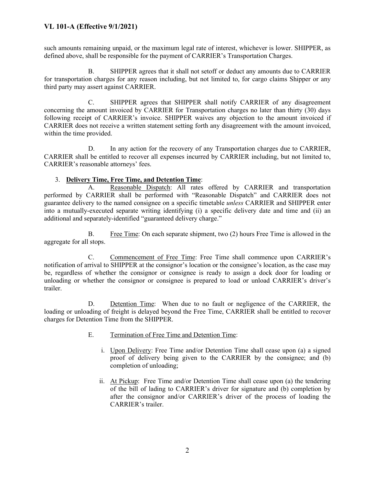such amounts remaining unpaid, or the maximum legal rate of interest, whichever is lower. SHIPPER, as defined above, shall be responsible for the payment of CARRIER's Transportation Charges.

B. SHIPPER agrees that it shall not setoff or deduct any amounts due to CARRIER for transportation charges for any reason including, but not limited to, for cargo claims Shipper or any third party may assert against CARRIER.

C. SHIPPER agrees that SHIPPER shall notify CARRIER of any disagreement concerning the amount invoiced by CARRIER for Transportation charges no later than thirty (30) days following receipt of CARRIER's invoice. SHIPPER waives any objection to the amount invoiced if CARRIER does not receive a written statement setting forth any disagreement with the amount invoiced, within the time provided.

D. In any action for the recovery of any Transportation charges due to CARRIER, CARRIER shall be entitled to recover all expenses incurred by CARRIER including, but not limited to, CARRIER's reasonable attorneys' fees.

#### 3. **Delivery Time, Free Time, and Detention Time**:

A. Reasonable Dispatch: All rates offered by CARRIER and transportation performed by CARRIER shall be performed with "Reasonable Dispatch" and CARRIER does not guarantee delivery to the named consignee on a specific timetable *unless* CARRIER and SHIPPER enter into a mutually-executed separate writing identifying (i) a specific delivery date and time and (ii) an additional and separately-identified "guaranteed delivery charge."

B. Free Time: On each separate shipment, two (2) hours Free Time is allowed in the aggregate for all stops.

C. Commencement of Free Time: Free Time shall commence upon CARRIER's notification of arrival to SHIPPER at the consignor's location or the consignee's location, as the case may be, regardless of whether the consignor or consignee is ready to assign a dock door for loading or unloading or whether the consignor or consignee is prepared to load or unload CARRIER's driver's trailer.

D. Detention Time: When due to no fault or negligence of the CARRIER, the loading or unloading of freight is delayed beyond the Free Time, CARRIER shall be entitled to recover charges for Detention Time from the SHIPPER.

- E. Termination of Free Time and Detention Time:
	- i. Upon Delivery: Free Time and/or Detention Time shall cease upon (a) a signed proof of delivery being given to the CARRIER by the consignee; and (b) completion of unloading;
	- ii. At Pickup: Free Time and/or Detention Time shall cease upon (a) the tendering of the bill of lading to CARRIER's driver for signature and (b) completion by after the consignor and/or CARRIER's driver of the process of loading the CARRIER's trailer.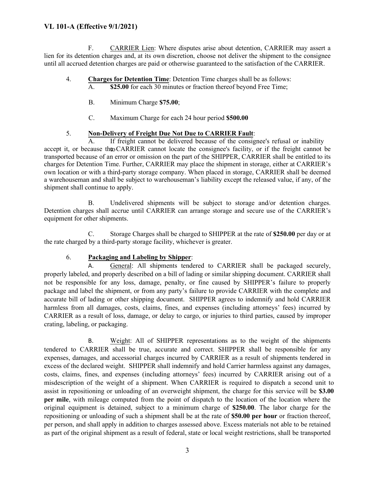F. CARRIER Lien: Where disputes arise about detention, CARRIER may assert a lien for its detention charges and, at its own discretion, choose not deliver the shipment to the consignee until all accrued detention charges are paid or otherwise guaranteed to the satisfaction of the CARRIER.

- 4. **Charges for Detention Time**: Detention Time charges shall be as follows:
	- A. **\$25.00** for each 30 minutes or fraction thereof beyond Free Time;
		- B. Minimum Charge **\$75.00**;
		- C. Maximum Charge for each 24 hour period **\$500.00**

## 5. **Non-Delivery of Freight Due Not Due to CARRIER Fault**:

If freight cannot be delivered because of the consignee's refusal or inability accept it, or because the CARRIER cannot locate the consignee's facility, or if the freight cannot be transported because of an error or omission on the part of the SHIPPER, CARRIER shall be entitled to its charges for Detention Time. Further, CARRIER may place the shipment in storage, either at CARRIER's own location or with a third-party storage company. When placed in storage, CARRIER shall be deemed a warehouseman and shall be subject to warehouseman's liability except the released value, if any, of the shipment shall continue to apply.

B. Undelivered shipments will be subject to storage and/or detention charges. Detention charges shall accrue until CARRIER can arrange storage and secure use of the CARRIER's equipment for other shipments.

C. Storage Charges shall be charged to SHIPPER at the rate of **\$250.00** per day or at the rate charged by a third-party storage facility, whichever is greater.

## 6. **Packaging and Labeling by Shipper**:

A. General: All shipments tendered to CARRIER shall be packaged securely, properly labeled, and properly described on a bill of lading or similar shipping document. CARRIER shall not be responsible for any loss, damage, penalty, or fine caused by SHIPPER's failure to properly package and label the shipment, or from any party's failure to provide CARRIER with the complete and accurate bill of lading or other shipping document. SHIPPER agrees to indemnify and hold CARRIER harmless from all damages, costs, claims, fines, and expenses (including attorneys' fees) incurred by CARRIER as a result of loss, damage, or delay to cargo, or injuries to third parties, caused by improper crating, labeling, or packaging.

B. Weight: All of SHIPPER representations as to the weight of the shipments tendered to CARRIER shall be true, accurate and correct. SHIPPER shall be responsible for any expenses, damages, and accessorial charges incurred by CARRIER as a result of shipments tendered in excess of the declared weight. SHIPPER shall indemnify and hold Carrier harmless against any damages, costs, claims, fines, and expenses (including attorneys' fees) incurred by CARRIER arising out of a misdescription of the weight of a shipment. When CARRIER is required to dispatch a second unit to assist in repositioning or unloading of an overweight shipment, the charge for this service will be **\$3.00 per mile**, with mileage computed from the point of dispatch to the location of the location where the original equipment is detained, subject to a minimum charge of **\$250.00**. The labor charge for the repositioning or unloading of such a shipment shall be at the rate of **\$50.00 per hour** or fraction thereof, per person, and shall apply in addition to charges assessed above. Excess materials not able to be retained as part of the original shipment as a result of federal, state or local weight restrictions, shall be transported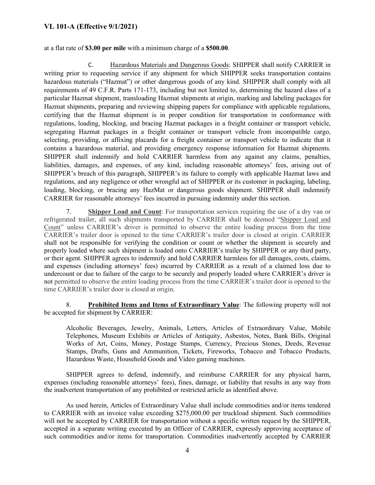at a flat rate of **\$3.00 per mile** with a minimum charge of a **\$500.00**.

C. Hazardous Materials and Dangerous Goods: SHIPPER shall notify CARRIER in writing prior to requesting service if any shipment for which SHIPPER seeks transportation contains hazardous materials ("Hazmat") or other dangerous goods of any kind. SHIPPER shall comply with all requirements of 49 C.F.R. Parts 171-173, including but not limited to, determining the hazard class of a particular Hazmat shipment, transloading Hazmat shipments at origin, marking and labeling packages for Hazmat shipments, preparing and reviewing shipping papers for compliance with applicable regulations, certifying that the Hazmat shipment is in proper condition for transportation in conformance with regulations, loading, blocking, and bracing Hazmat packages in a freight container or transport vehicle, segregating Hazmat packages in a freight container or transport vehicle from incompatible cargo, selecting, providing, or affixing placards for a freight container or transport vehicle to indicate that it contains a hazardous material, and providing emergency response information for Hazmat shipments. SHIPPER shall indemnify and hold CARRIER harmless from any against any claims, penalties, liabilities, damages, and expenses, of any kind, including reasonable attorneys' fees, arising out of SHIPPER's breach of this paragraph, SHIPPER's its failure to comply with applicable Hazmat laws and regulations, and any negligence or other wrongful act of SHIPPER or its customer in packaging, labeling, loading, blocking, or bracing any HazMat or dangerous goods shipment. SHIPPER shall indemnify CARRIER for reasonable attorneys' fees incurred in pursuing indemnity under this section.

7. **Shipper Load and Count**: For transportation services requiring the use of a dry van or refrigerated trailer, all such shipments transported by CARRIER shall be deemed "Shipper Load and Count" unless CARRIER's driver is permitted to observe the entire loading process from the time CARRIER's trailer door is opened to the time CARRIER's trailer door is closed at origin. CARRIER shall not be responsible for verifying the condition or count or whether the shipment is securely and properly loaded where such shipment is loaded onto CARRIER's trailer by SHIPPER or any third party, or their agent. SHIPPER agrees to indemnify and hold CARRIER harmless for all damages, costs, claims, and expenses (including attorneys' fees) incurred by CARRIER as a result of a claimed loss due to undercount or due to failure of the cargo to be securely and properly loaded where CARRIER's driver is not permitted to observe the entire loading process from the time CARRIER's trailer door is opened to the time CARRIER's trailer door is closed at origin.

8. **Prohibited Items and Items of Extraordinary Value**: The following property will not be accepted for shipment by CARRIER:

Alcoholic Beverages, Jewelry, Animals, Letters, Articles of Extraordinary Value, Mobile Telephones, Museum Exhibits or Articles of Antiquity, Asbestos, Notes, Bank Bills, Original Works of Art, Coins, Money, Postage Stamps, Currency, Precious Stones, Deeds, Revenue Stamps, Drafts, Guns and Ammunition, Tickets, Fireworks, Tobacco and Tobacco Products, Hazardous Waste, Household Goods and Video gaming machines.

SHIPPER agrees to defend, indemnify, and reimburse CARRIER for any physical harm, expenses (including reasonable attorneys' fees), fines, damage, or liability that results in any way from the inadvertent transportation of any prohibited or restricted article as identified above.

As used herein, Articles of Extraordinary Value shall include commodities and/or items tendered to CARRIER with an invoice value exceeding \$275,000.00 per truckload shipment. Such commodities will not be accepted by CARRIER for transportation without a specific written request by the SHIPPER, accepted in a separate writing executed by an Officer of CARRIER, expressly approving acceptance of such commodities and/or items for transportation. Commodities inadvertently accepted by CARRIER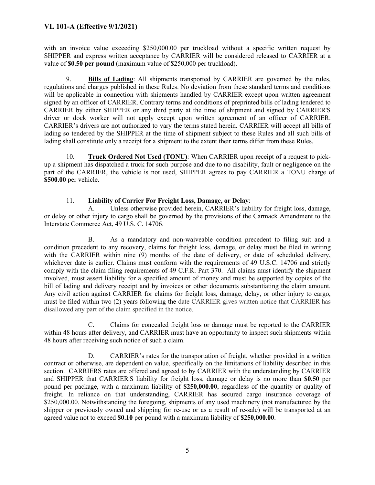with an invoice value exceeding \$250,000.00 per truckload without a specific written request by SHIPPER and express written acceptance by CARRIER will be considered released to CARRIER at a value of **\$0.50 per pound** (maximum value of \$250,000 per truckload).

9. **Bills of Lading**: All shipments transported by CARRIER are governed by the rules, regulations and charges published in these Rules. No deviation from these standard terms and conditions will be applicable in connection with shipments handled by CARRIER except upon written agreement signed by an officer of CARRIER. Contrary terms and conditions of preprinted bills of lading tendered to CARRIER by either SHIPPER or any third party at the time of shipment and signed by CARRIER'S driver or dock worker will not apply except upon written agreement of an officer of CARRIER. CARRIER's drivers are not authorized to vary the terms stated herein. CARRIER will accept all bills of lading so tendered by the SHIPPER at the time of shipment subject to these Rules and all such bills of lading shall constitute only a receipt for a shipment to the extent their terms differ from these Rules.

10. **Truck Ordered Not Used (TONU)**: When CARRIER upon receipt of a request to pickup a shipment has dispatched a truck for such purpose and due to no disability, fault or negligence on the part of the CARRIER, the vehicle is not used, SHIPPER agrees to pay CARRIER a TONU charge of **\$500.00** per vehicle.

#### 11. **Liability of Carrier For Freight Loss, Damage, or Delay**:

A. Unless otherwise provided herein, CARRIER's liability for freight loss, damage, or delay or other injury to cargo shall be governed by the provisions of the Carmack Amendment to the Interstate Commerce Act, 49 U.S. C. 14706.

B. As a mandatory and non-waiveable condition precedent to filing suit and a condition precedent to any recovery, claims for freight loss, damage, or delay must be filed in writing with the CARRIER within nine (9) months of the date of delivery, or date of scheduled delivery, whichever date is earlier. Claims must conform with the requirements of 49 U.S.C. 14706 and strictly comply with the claim filing requirements of 49 C.F.R. Part 370. All claims must identify the shipment involved, must assert liability for a specified amount of money and must be supported by copies of the bill of lading and delivery receipt and by invoices or other documents substantiating the claim amount. Any civil action against CARRIER for claims for freight loss, damage, delay, or other injury to cargo, must be filed within two (2) years following the date CARRIER gives written notice that CARRIER has disallowed any part of the claim specified in the notice.

C. Claims for concealed freight loss or damage must be reported to the CARRIER within 48 hours after delivery, and CARRIER must have an opportunity to inspect such shipments within 48 hours after receiving such notice of such a claim.

D. CARRIER's rates for the transportation of freight, whether provided in a written contract or otherwise, are dependent on value, specifically on the limitations of liability described in this section. CARRIERS rates are offered and agreed to by CARRIER with the understanding by CARRIER and SHIPPER that CARRIER'S liability for freight loss, damage or delay is no more than **\$0.50** per pound per package, with a maximum liability of **\$250,000.00**, regardless of the quantity or quality of freight. In reliance on that understanding, CARRIER has secured cargo insurance coverage of \$250,000.00. Notwithstanding the foregoing, shipments of any used machinery (not manufactured by the shipper or previously owned and shipping for re-use or as a result of re-sale) will be transported at an agreed value not to exceed **\$0.10** per pound with a maximum liability of **\$250,000.00**.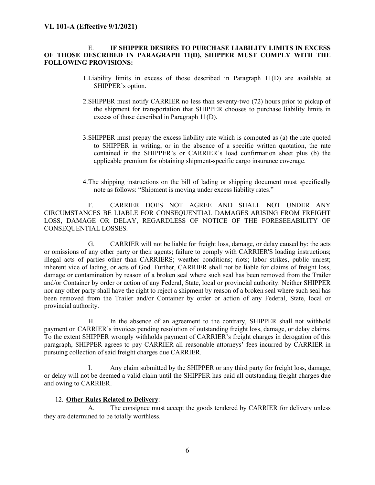#### E. **IF SHIPPER DESIRES TO PURCHASE LIABILITY LIMITS IN EXCESS OF THOSE DESCRIBED IN PARAGRAPH 11(D), SHIPPER MUST COMPLY WITH THE FOLLOWING PROVISIONS:**

- 1.Liability limits in excess of those described in Paragraph 11(D) are available at SHIPPER's option.
- 2.SHIPPER must notify CARRIER no less than seventy-two (72) hours prior to pickup of the shipment for transportation that SHIPPER chooses to purchase liability limits in excess of those described in Paragraph 11(D).
- 3.SHIPPER must prepay the excess liability rate which is computed as (a) the rate quoted to SHIPPER in writing, or in the absence of a specific written quotation, the rate contained in the SHIPPER's or CARRIER's load confirmation sheet plus (b) the applicable premium for obtaining shipment-specific cargo insurance coverage.
- 4.The shipping instructions on the bill of lading or shipping document must specifically note as follows: "Shipment is moving under excess liability rates."

F. CARRIER DOES NOT AGREE AND SHALL NOT UNDER ANY CIRCUMSTANCES BE LIABLE FOR CONSEQUENTIAL DAMAGES ARISING FROM FREIGHT LOSS, DAMAGE OR DELAY, REGARDLESS OF NOTICE OF THE FORESEEABILITY OF CONSEQUENTIAL LOSSES.

G. CARRIER will not be liable for freight loss, damage, or delay caused by: the acts or omissions of any other party or their agents; failure to comply with CARRIER'S loading instructions; illegal acts of parties other than CARRIERS; weather conditions; riots; labor strikes, public unrest; inherent vice of lading, or acts of God. Further, CARRIER shall not be liable for claims of freight loss, damage or contamination by reason of a broken seal where such seal has been removed from the Trailer and/or Container by order or action of any Federal, State, local or provincial authority. Neither SHIPPER nor any other party shall have the right to reject a shipment by reason of a broken seal where such seal has been removed from the Trailer and/or Container by order or action of any Federal, State, local or provincial authority.

H. In the absence of an agreement to the contrary, SHIPPER shall not withhold payment on CARRIER's invoices pending resolution of outstanding freight loss, damage, or delay claims. To the extent SHIPPER wrongly withholds payment of CARRIER's freight charges in derogation of this paragraph, SHIPPER agrees to pay CARRIER all reasonable attorneys' fees incurred by CARRIER in pursuing collection of said freight charges due CARRIER.

I. Any claim submitted by the SHIPPER or any third party for freight loss, damage, or delay will not be deemed a valid claim until the SHIPPER has paid all outstanding freight charges due and owing to CARRIER.

#### 12. **Other Rules Related to Delivery**:

A. The consignee must accept the goods tendered by CARRIER for delivery unless they are determined to be totally worthless.